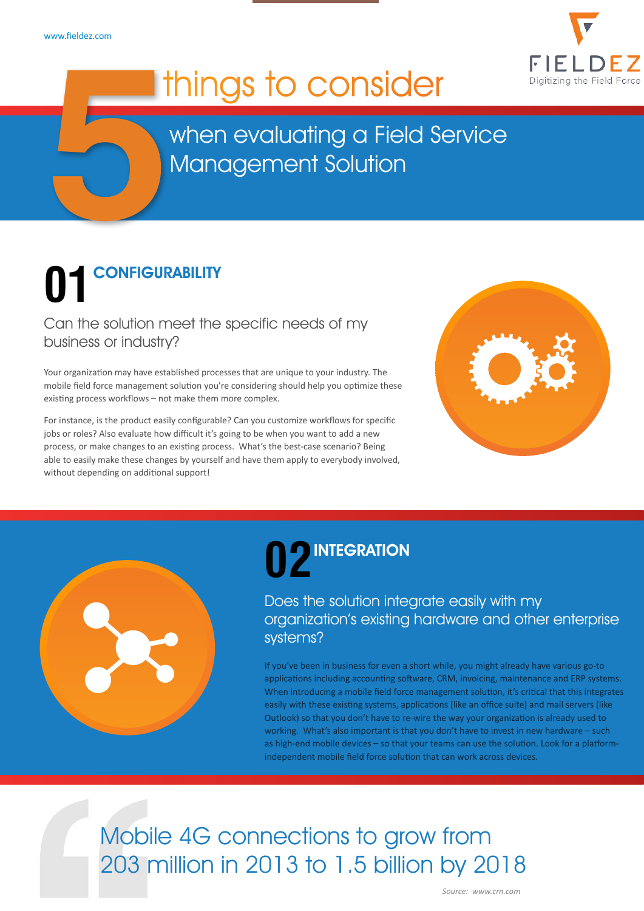

## I things to consider

when evaluating a Field Service Management Solution

# **5** CONFIGURABILITY **01**

Can the solution meet the specific needs of my business or industry?

Your organization may have established processes that are unique to your industry. The mobile field force management solution you're considering should help you optimize these existing process workflows – not make them more complex.

For instance, is the product easily configurable? Can you customize workflows for specific jobs or roles? Also evaluate how difficult it's going to be when you want to add a new process, or make changes to an existing process. What's the best-case scenario? Being able to easily make these changes by yourself and have them apply to everybody involved, without depending on additional support!



## 02
INTEGRATION

#### Does the solution integrate easily with my organization's existing hardware and other enterprise systems?

If you've been in business for even a short while, you might already have various go-to applications including accounting software, CRM, invoicing, maintenance and ERP systems. When introducing a mobile field force management solution, it's critical that this integrates easily with these existing systems, applications (like an office suite) and mail servers (like Outlook) so that you don't have to re-wire the way your organization is already used to working. What's also important is that you don't have to invest in new hardware – such as high-end mobile devices – so that your teams can use the solution. Look for a platformindependent mobile field force solution that can work across devices.

[Mobile 4G connections to grow from](http://www.crn.com/slide-shows/mobility/300071779/mobility-revolution-8-shocking-stats-from-ciscos-2014-mobile-traffic-forecast.htm/pgno/0/5)  [203 million in 2013 to 1.5 billion by 2018](http://www.crn.com/slide-shows/mobility/300071779/mobility-revolution-8-shocking-stats-from-ciscos-2014-mobile-traffic-forecast.htm/pgno/0/5)

*[Source: www.crn.com](http://www.crn.com/slide-shows/mobility/300071779/mobility-revolution-8-shocking-stats-from-ciscos-2014-mobile-traffic-forecast.htm/pgno/0/5)*